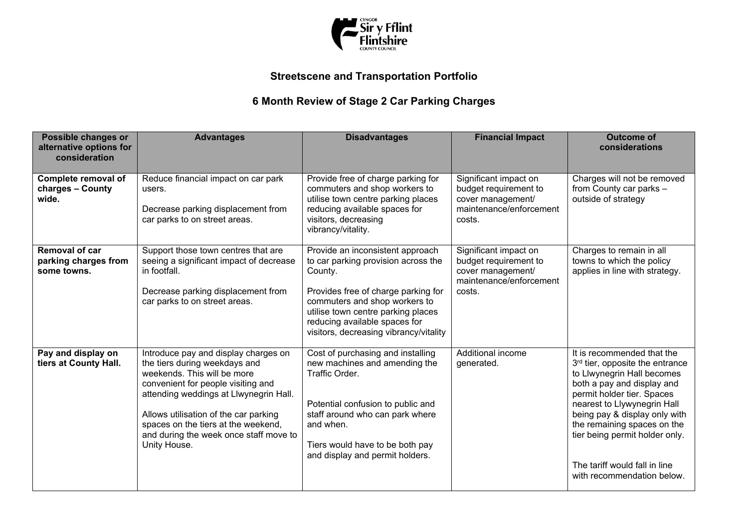

## **Streetscene and Transportation Portfolio**

## **6 Month Review of Stage 2 Car Parking Charges**

| Possible changes or<br>alternative options for<br>consideration | <b>Advantages</b>                                                                                                                                                                                                                                                                                                              | <b>Disadvantages</b>                                                                                                                                                                                                                                                        | <b>Financial Impact</b>                                                                                  | <b>Outcome of</b><br>considerations                                                                                                                                                                                                                                                                                                                                 |
|-----------------------------------------------------------------|--------------------------------------------------------------------------------------------------------------------------------------------------------------------------------------------------------------------------------------------------------------------------------------------------------------------------------|-----------------------------------------------------------------------------------------------------------------------------------------------------------------------------------------------------------------------------------------------------------------------------|----------------------------------------------------------------------------------------------------------|---------------------------------------------------------------------------------------------------------------------------------------------------------------------------------------------------------------------------------------------------------------------------------------------------------------------------------------------------------------------|
| Complete removal of<br>charges - County<br>wide.                | Reduce financial impact on car park<br>users.<br>Decrease parking displacement from<br>car parks to on street areas.                                                                                                                                                                                                           | Provide free of charge parking for<br>commuters and shop workers to<br>utilise town centre parking places<br>reducing available spaces for<br>visitors, decreasing<br>vibrancy/vitality.                                                                                    | Significant impact on<br>budget requirement to<br>cover management/<br>maintenance/enforcement<br>costs. | Charges will not be removed<br>from County car parks -<br>outside of strategy                                                                                                                                                                                                                                                                                       |
| <b>Removal of car</b><br>parking charges from<br>some towns.    | Support those town centres that are<br>seeing a significant impact of decrease<br>in footfall.<br>Decrease parking displacement from<br>car parks to on street areas.                                                                                                                                                          | Provide an inconsistent approach<br>to car parking provision across the<br>County.<br>Provides free of charge parking for<br>commuters and shop workers to<br>utilise town centre parking places<br>reducing available spaces for<br>visitors, decreasing vibrancy/vitality | Significant impact on<br>budget requirement to<br>cover management/<br>maintenance/enforcement<br>costs. | Charges to remain in all<br>towns to which the policy<br>applies in line with strategy.                                                                                                                                                                                                                                                                             |
| Pay and display on<br>tiers at County Hall.                     | Introduce pay and display charges on<br>the tiers during weekdays and<br>weekends. This will be more<br>convenient for people visiting and<br>attending weddings at Llwynegrin Hall.<br>Allows utilisation of the car parking<br>spaces on the tiers at the weekend,<br>and during the week once staff move to<br>Unity House. | Cost of purchasing and installing<br>new machines and amending the<br>Traffic Order.<br>Potential confusion to public and<br>staff around who can park where<br>and when.<br>Tiers would have to be both pay<br>and display and permit holders.                             | Additional income<br>generated.                                                                          | It is recommended that the<br>3 <sup>rd</sup> tier, opposite the entrance<br>to Llwynegrin Hall becomes<br>both a pay and display and<br>permit holder tier. Spaces<br>nearest to Llywynegrin Hall<br>being pay & display only with<br>the remaining spaces on the<br>tier being permit holder only.<br>The tariff would fall in line<br>with recommendation below. |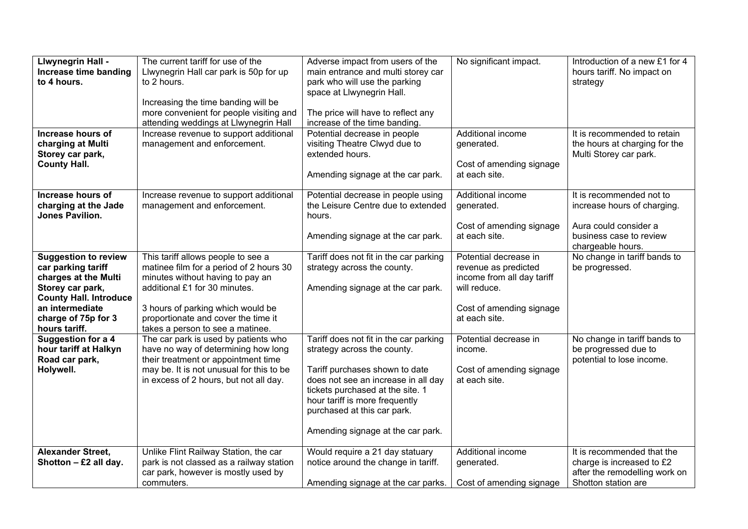| <b>Llwynegrin Hall -</b>                          | The current tariff for use of the        | Adverse impact from users of the                                      | No significant impact.                    | Introduction of a new £1 for 4                    |
|---------------------------------------------------|------------------------------------------|-----------------------------------------------------------------------|-------------------------------------------|---------------------------------------------------|
| Increase time banding                             | Llwynegrin Hall car park is 50p for up   | main entrance and multi storey car                                    |                                           | hours tariff. No impact on                        |
| to 4 hours.                                       | to 2 hours.                              | park who will use the parking                                         |                                           | strategy                                          |
|                                                   |                                          | space at Llwynegrin Hall.                                             |                                           |                                                   |
|                                                   | Increasing the time banding will be      |                                                                       |                                           |                                                   |
|                                                   | more convenient for people visiting and  | The price will have to reflect any                                    |                                           |                                                   |
|                                                   | attending weddings at Llwynegrin Hall    | increase of the time banding.                                         |                                           |                                                   |
| Increase hours of                                 | Increase revenue to support additional   | Potential decrease in people                                          | Additional income                         | It is recommended to retain                       |
| charging at Multi                                 | management and enforcement.              | visiting Theatre Clwyd due to                                         | generated.                                | the hours at charging for the                     |
| Storey car park,                                  |                                          | extended hours.                                                       |                                           | Multi Storey car park.                            |
| <b>County Hall.</b>                               |                                          |                                                                       | Cost of amending signage<br>at each site. |                                                   |
|                                                   |                                          | Amending signage at the car park.                                     |                                           |                                                   |
| Increase hours of                                 | Increase revenue to support additional   | Potential decrease in people using                                    | Additional income                         | It is recommended not to                          |
| charging at the Jade                              | management and enforcement.              | the Leisure Centre due to extended                                    | generated.                                | increase hours of charging.                       |
| Jones Pavilion.                                   |                                          | hours.                                                                |                                           |                                                   |
|                                                   |                                          |                                                                       | Cost of amending signage                  | Aura could consider a                             |
|                                                   |                                          | Amending signage at the car park.                                     | at each site.                             | business case to review                           |
|                                                   | This tariff allows people to see a       |                                                                       | Potential decrease in                     | chargeable hours.<br>No change in tariff bands to |
| <b>Suggestion to review</b><br>car parking tariff | matinee film for a period of 2 hours 30  | Tariff does not fit in the car parking<br>strategy across the county. | revenue as predicted                      | be progressed.                                    |
| charges at the Multi                              | minutes without having to pay an         |                                                                       | income from all day tariff                |                                                   |
| Storey car park,                                  | additional £1 for 30 minutes.            | Amending signage at the car park.                                     | will reduce.                              |                                                   |
| <b>County Hall. Introduce</b>                     |                                          |                                                                       |                                           |                                                   |
| an intermediate                                   | 3 hours of parking which would be        |                                                                       | Cost of amending signage                  |                                                   |
| charge of 75p for 3                               | proportionate and cover the time it      |                                                                       | at each site.                             |                                                   |
| hours tariff.                                     | takes a person to see a matinee.         |                                                                       |                                           |                                                   |
| <b>Suggestion for a 4</b>                         | The car park is used by patients who     | Tariff does not fit in the car parking                                | Potential decrease in                     | No change in tariff bands to                      |
| hour tariff at Halkyn                             | have no way of determining how long      | strategy across the county.                                           | income.                                   | be progressed due to                              |
| Road car park,                                    | their treatment or appointment time      |                                                                       |                                           | potential to lose income.                         |
| Holywell.                                         | may be. It is not unusual for this to be | Tariff purchases shown to date                                        | Cost of amending signage                  |                                                   |
|                                                   | in excess of 2 hours, but not all day.   | does not see an increase in all day                                   | at each site.                             |                                                   |
|                                                   |                                          | tickets purchased at the site. 1                                      |                                           |                                                   |
|                                                   |                                          | hour tariff is more frequently                                        |                                           |                                                   |
|                                                   |                                          | purchased at this car park.                                           |                                           |                                                   |
|                                                   |                                          | Amending signage at the car park.                                     |                                           |                                                   |
|                                                   |                                          |                                                                       |                                           |                                                   |
| <b>Alexander Street,</b>                          | Unlike Flint Railway Station, the car    | Would require a 21 day statuary                                       | Additional income                         | It is recommended that the                        |
| Shotton $- E2$ all day.                           | park is not classed as a railway station | notice around the change in tariff.                                   | generated.                                | charge is increased to £2                         |
|                                                   | car park, however is mostly used by      |                                                                       |                                           | after the remodelling work on                     |
|                                                   | commuters.                               | Amending signage at the car parks.                                    | Cost of amending signage                  | Shotton station are                               |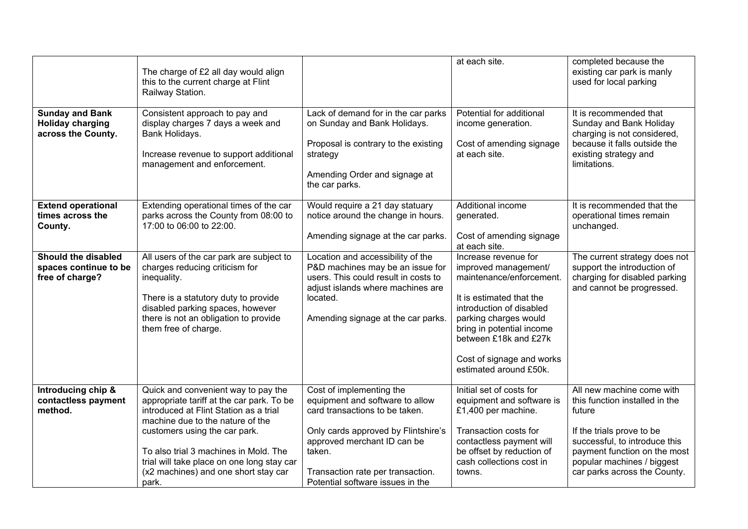|                                                                         | The charge of £2 all day would align<br>this to the current charge at Flint<br>Railway Station.                                                                                                                                        |                                                                                                                                                                                                      | at each site.                                                                                                                                                                                                                                                          | completed because the<br>existing car park is manly<br>used for local parking                                                                             |
|-------------------------------------------------------------------------|----------------------------------------------------------------------------------------------------------------------------------------------------------------------------------------------------------------------------------------|------------------------------------------------------------------------------------------------------------------------------------------------------------------------------------------------------|------------------------------------------------------------------------------------------------------------------------------------------------------------------------------------------------------------------------------------------------------------------------|-----------------------------------------------------------------------------------------------------------------------------------------------------------|
| <b>Sunday and Bank</b><br><b>Holiday charging</b><br>across the County. | Consistent approach to pay and<br>display charges 7 days a week and<br>Bank Holidays.<br>Increase revenue to support additional<br>management and enforcement.                                                                         | Lack of demand for in the car parks<br>on Sunday and Bank Holidays.<br>Proposal is contrary to the existing<br>strategy<br>Amending Order and signage at<br>the car parks.                           | Potential for additional<br>income generation.<br>Cost of amending signage<br>at each site.                                                                                                                                                                            | It is recommended that<br>Sunday and Bank Holiday<br>charging is not considered,<br>because it falls outside the<br>existing strategy and<br>limitations. |
| <b>Extend operational</b><br>times across the<br>County.                | Extending operational times of the car<br>parks across the County from 08:00 to<br>17:00 to 06:00 to 22:00.                                                                                                                            | Would require a 21 day statuary<br>notice around the change in hours.<br>Amending signage at the car parks.                                                                                          | Additional income<br>generated.<br>Cost of amending signage<br>at each site.                                                                                                                                                                                           | It is recommended that the<br>operational times remain<br>unchanged.                                                                                      |
| Should the disabled<br>spaces continue to be<br>free of charge?         | All users of the car park are subject to<br>charges reducing criticism for<br>inequality.<br>There is a statutory duty to provide<br>disabled parking spaces, however<br>there is not an obligation to provide<br>them free of charge. | Location and accessibility of the<br>P&D machines may be an issue for<br>users. This could result in costs to<br>adjust islands where machines are<br>located.<br>Amending signage at the car parks. | Increase revenue for<br>improved management/<br>maintenance/enforcement.<br>It is estimated that the<br>introduction of disabled<br>parking charges would<br>bring in potential income<br>between £18k and £27k<br>Cost of signage and works<br>estimated around £50k. | The current strategy does not<br>support the introduction of<br>charging for disabled parking<br>and cannot be progressed.                                |
| Introducing chip &<br>contactless payment<br>method.                    | Quick and convenient way to pay the<br>appropriate tariff at the car park. To be<br>introduced at Flint Station as a trial<br>machine due to the nature of the                                                                         | Cost of implementing the<br>equipment and software to allow<br>card transactions to be taken.                                                                                                        | Initial set of costs for<br>equipment and software is<br>£1,400 per machine.                                                                                                                                                                                           | All new machine come with<br>this function installed in the<br>future                                                                                     |
|                                                                         | customers using the car park.<br>To also trial 3 machines in Mold. The<br>trial will take place on one long stay car<br>(x2 machines) and one short stay car<br>park.                                                                  | Only cards approved by Flintshire's<br>approved merchant ID can be<br>taken.<br>Transaction rate per transaction.<br>Potential software issues in the                                                | Transaction costs for<br>contactless payment will<br>be offset by reduction of<br>cash collections cost in<br>towns.                                                                                                                                                   | If the trials prove to be<br>successful, to introduce this<br>payment function on the most<br>popular machines / biggest<br>car parks across the County.  |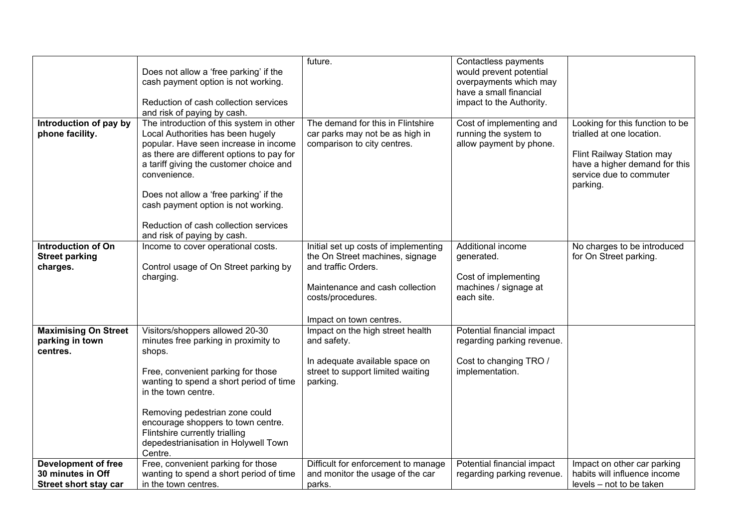|                              |                                                 | future.                              | Contactless payments       |                                 |
|------------------------------|-------------------------------------------------|--------------------------------------|----------------------------|---------------------------------|
|                              | Does not allow a 'free parking' if the          |                                      | would prevent potential    |                                 |
|                              | cash payment option is not working.             |                                      | overpayments which may     |                                 |
|                              |                                                 |                                      | have a small financial     |                                 |
|                              | Reduction of cash collection services           |                                      | impact to the Authority.   |                                 |
|                              | and risk of paying by cash.                     |                                      |                            |                                 |
| Introduction of pay by       | The introduction of this system in other        | The demand for this in Flintshire    | Cost of implementing and   | Looking for this function to be |
| phone facility.              | Local Authorities has been hugely               | car parks may not be as high in      | running the system to      | trialled at one location.       |
|                              | popular. Have seen increase in income           | comparison to city centres.          | allow payment by phone.    |                                 |
|                              | as there are different options to pay for       |                                      |                            | Flint Railway Station may       |
|                              | a tariff giving the customer choice and         |                                      |                            | have a higher demand for this   |
|                              | convenience.                                    |                                      |                            | service due to commuter         |
|                              | Does not allow a 'free parking' if the          |                                      |                            | parking.                        |
|                              | cash payment option is not working.             |                                      |                            |                                 |
|                              |                                                 |                                      |                            |                                 |
|                              | Reduction of cash collection services           |                                      |                            |                                 |
|                              | and risk of paying by cash.                     |                                      |                            |                                 |
| <b>Introduction of On</b>    | Income to cover operational costs.              | Initial set up costs of implementing | Additional income          | No charges to be introduced     |
| <b>Street parking</b>        |                                                 | the On Street machines, signage      | generated.                 | for On Street parking.          |
| charges.                     | Control usage of On Street parking by           | and traffic Orders.                  |                            |                                 |
|                              | charging.                                       |                                      | Cost of implementing       |                                 |
|                              |                                                 | Maintenance and cash collection      | machines / signage at      |                                 |
|                              |                                                 | costs/procedures.                    | each site.                 |                                 |
|                              |                                                 |                                      |                            |                                 |
|                              |                                                 | Impact on town centres.              |                            |                                 |
| <b>Maximising On Street</b>  | Visitors/shoppers allowed 20-30                 | Impact on the high street health     | Potential financial impact |                                 |
| parking in town<br>centres.  | minutes free parking in proximity to<br>shops.  | and safety.                          | regarding parking revenue. |                                 |
|                              |                                                 | In adequate available space on       | Cost to changing TRO /     |                                 |
|                              | Free, convenient parking for those              | street to support limited waiting    | implementation.            |                                 |
|                              | wanting to spend a short period of time         | parking.                             |                            |                                 |
|                              | in the town centre.                             |                                      |                            |                                 |
|                              |                                                 |                                      |                            |                                 |
|                              | Removing pedestrian zone could                  |                                      |                            |                                 |
|                              | encourage shoppers to town centre.              |                                      |                            |                                 |
|                              | Flintshire currently trialling                  |                                      |                            |                                 |
|                              | depedestrianisation in Holywell Town<br>Centre. |                                      |                            |                                 |
| <b>Development of free</b>   | Free, convenient parking for those              | Difficult for enforcement to manage  | Potential financial impact | Impact on other car parking     |
| 30 minutes in Off            | wanting to spend a short period of time         | and monitor the usage of the car     | regarding parking revenue. | habits will influence income    |
| <b>Street short stay car</b> | in the town centres.                            | parks.                               |                            | levels - not to be taken        |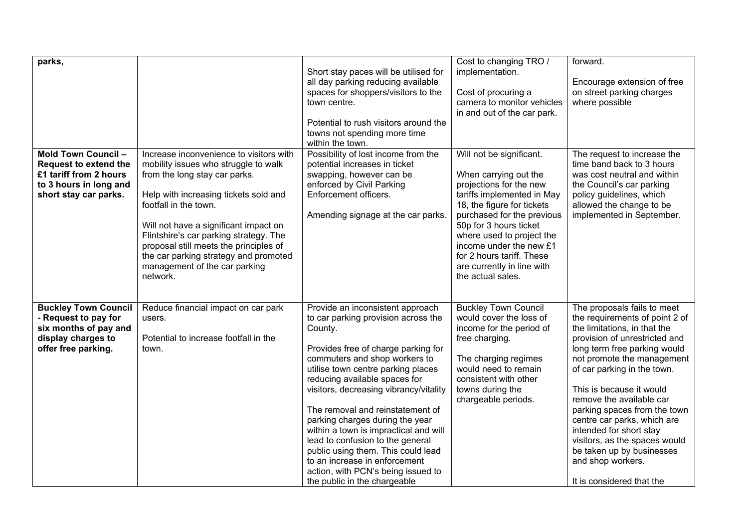| parks,                                                                                                                           |                                                                                                                                                                                                                                                                                                                                                                                                       | Short stay paces will be utilised for<br>all day parking reducing available<br>spaces for shoppers/visitors to the<br>town centre.<br>Potential to rush visitors around the<br>towns not spending more time<br>within the town.                                                                                                                                                                                                                                                                                                                                              | Cost to changing TRO /<br>implementation.<br>Cost of procuring a<br>camera to monitor vehicles<br>in and out of the car park.                                                                                                                                                                                                            | forward.<br>Encourage extension of free<br>on street parking charges<br>where possible                                                                                                                                                                                                                                                                                                                                                                                                        |
|----------------------------------------------------------------------------------------------------------------------------------|-------------------------------------------------------------------------------------------------------------------------------------------------------------------------------------------------------------------------------------------------------------------------------------------------------------------------------------------------------------------------------------------------------|------------------------------------------------------------------------------------------------------------------------------------------------------------------------------------------------------------------------------------------------------------------------------------------------------------------------------------------------------------------------------------------------------------------------------------------------------------------------------------------------------------------------------------------------------------------------------|------------------------------------------------------------------------------------------------------------------------------------------------------------------------------------------------------------------------------------------------------------------------------------------------------------------------------------------|-----------------------------------------------------------------------------------------------------------------------------------------------------------------------------------------------------------------------------------------------------------------------------------------------------------------------------------------------------------------------------------------------------------------------------------------------------------------------------------------------|
| Mold Town Council -<br><b>Request to extend the</b><br>£1 tariff from 2 hours<br>to 3 hours in long and<br>short stay car parks. | Increase inconvenience to visitors with<br>mobility issues who struggle to walk<br>from the long stay car parks.<br>Help with increasing tickets sold and<br>footfall in the town.<br>Will not have a significant impact on<br>Flintshire's car parking strategy. The<br>proposal still meets the principles of<br>the car parking strategy and promoted<br>management of the car parking<br>network. | Possibility of lost income from the<br>potential increases in ticket<br>swapping, however can be<br>enforced by Civil Parking<br>Enforcement officers.<br>Amending signage at the car parks.                                                                                                                                                                                                                                                                                                                                                                                 | Will not be significant.<br>When carrying out the<br>projections for the new<br>tariffs implemented in May<br>18, the figure for tickets<br>purchased for the previous<br>50p for 3 hours ticket<br>where used to project the<br>income under the new £1<br>for 2 hours tariff. These<br>are currently in line with<br>the actual sales. | The request to increase the<br>time band back to 3 hours<br>was cost neutral and within<br>the Council's car parking<br>policy guidelines, which<br>allowed the change to be<br>implemented in September.                                                                                                                                                                                                                                                                                     |
| <b>Buckley Town Council</b><br>- Request to pay for<br>six months of pay and<br>display charges to<br>offer free parking.        | Reduce financial impact on car park<br>users.<br>Potential to increase footfall in the<br>town.                                                                                                                                                                                                                                                                                                       | Provide an inconsistent approach<br>to car parking provision across the<br>County.<br>Provides free of charge parking for<br>commuters and shop workers to<br>utilise town centre parking places<br>reducing available spaces for<br>visitors, decreasing vibrancy/vitality<br>The removal and reinstatement of<br>parking charges during the year<br>within a town is impractical and will<br>lead to confusion to the general<br>public using them. This could lead<br>to an increase in enforcement<br>action, with PCN's being issued to<br>the public in the chargeable | <b>Buckley Town Council</b><br>would cover the loss of<br>income for the period of<br>free charging.<br>The charging regimes<br>would need to remain<br>consistent with other<br>towns during the<br>chargeable periods.                                                                                                                 | The proposals fails to meet<br>the requirements of point 2 of<br>the limitations, in that the<br>provision of unrestricted and<br>long term free parking would<br>not promote the management<br>of car parking in the town.<br>This is because it would<br>remove the available car<br>parking spaces from the town<br>centre car parks, which are<br>intended for short stay<br>visitors, as the spaces would<br>be taken up by businesses<br>and shop workers.<br>It is considered that the |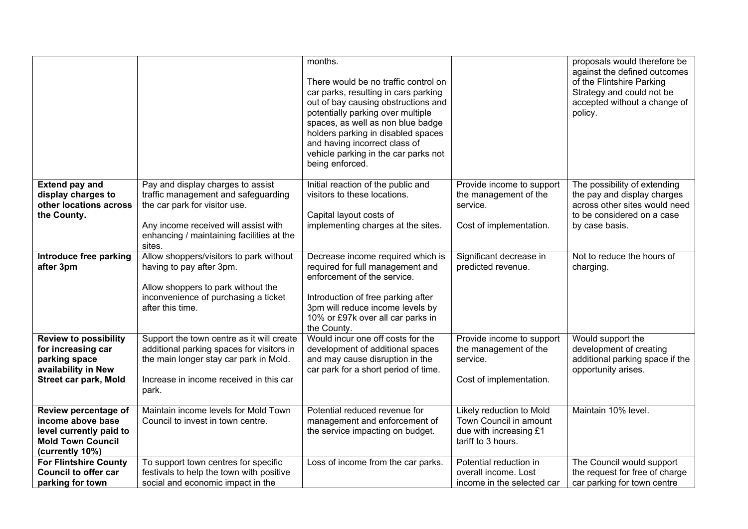|                                                                                                                     |                                                                                                                                                                                                          | months.<br>There would be no traffic control on<br>car parks, resulting in cars parking<br>out of bay causing obstructions and<br>potentially parking over multiple<br>spaces, as well as non blue badge<br>holders parking in disabled spaces<br>and having incorrect class of<br>vehicle parking in the car parks not<br>being enforced. |                                                                                                    | proposals would therefore be<br>against the defined outcomes<br>of the Flintshire Parking<br>Strategy and could not be<br>accepted without a change of<br>policy. |
|---------------------------------------------------------------------------------------------------------------------|----------------------------------------------------------------------------------------------------------------------------------------------------------------------------------------------------------|--------------------------------------------------------------------------------------------------------------------------------------------------------------------------------------------------------------------------------------------------------------------------------------------------------------------------------------------|----------------------------------------------------------------------------------------------------|-------------------------------------------------------------------------------------------------------------------------------------------------------------------|
| <b>Extend pay and</b><br>display charges to<br>other locations across<br>the County.                                | Pay and display charges to assist<br>traffic management and safeguarding<br>the car park for visitor use.<br>Any income received will assist with<br>enhancing / maintaining facilities at the<br>sites. | Initial reaction of the public and<br>visitors to these locations.<br>Capital layout costs of<br>implementing charges at the sites.                                                                                                                                                                                                        | Provide income to support<br>the management of the<br>service.<br>Cost of implementation.          | The possibility of extending<br>the pay and display charges<br>across other sites would need<br>to be considered on a case<br>by case basis.                      |
| Introduce free parking<br>after 3pm                                                                                 | Allow shoppers/visitors to park without<br>having to pay after 3pm.<br>Allow shoppers to park without the<br>inconvenience of purchasing a ticket<br>after this time.                                    | Decrease income required which is<br>required for full management and<br>enforcement of the service.<br>Introduction of free parking after<br>3pm will reduce income levels by<br>10% or £97k over all car parks in<br>the County.                                                                                                         | Significant decrease in<br>predicted revenue.                                                      | Not to reduce the hours of<br>charging.                                                                                                                           |
| <b>Review to possibility</b><br>for increasing car<br>parking space<br>availability in New<br>Street car park, Mold | Support the town centre as it will create<br>additional parking spaces for visitors in<br>the main longer stay car park in Mold.<br>Increase in income received in this car<br>park.                     | Would incur one off costs for the<br>development of additional spaces<br>and may cause disruption in the<br>car park for a short period of time.                                                                                                                                                                                           | Provide income to support<br>the management of the<br>service.<br>Cost of implementation.          | Would support the<br>development of creating<br>additional parking space if the<br>opportunity arises.                                                            |
| Review percentage of<br>income above base<br>level currently paid to<br><b>Mold Town Council</b><br>(currently 10%) | Maintain income levels for Mold Town<br>Council to invest in town centre.                                                                                                                                | Potential reduced revenue for<br>management and enforcement of<br>the service impacting on budget.                                                                                                                                                                                                                                         | Likely reduction to Mold<br>Town Council in amount<br>due with increasing £1<br>tariff to 3 hours. | Maintain 10% level.                                                                                                                                               |
| <b>For Flintshire County</b><br><b>Council to offer car</b><br>parking for town                                     | To support town centres for specific<br>festivals to help the town with positive<br>social and economic impact in the                                                                                    | Loss of income from the car parks.                                                                                                                                                                                                                                                                                                         | Potential reduction in<br>overall income. Lost<br>income in the selected car                       | The Council would support<br>the request for free of charge<br>car parking for town centre                                                                        |